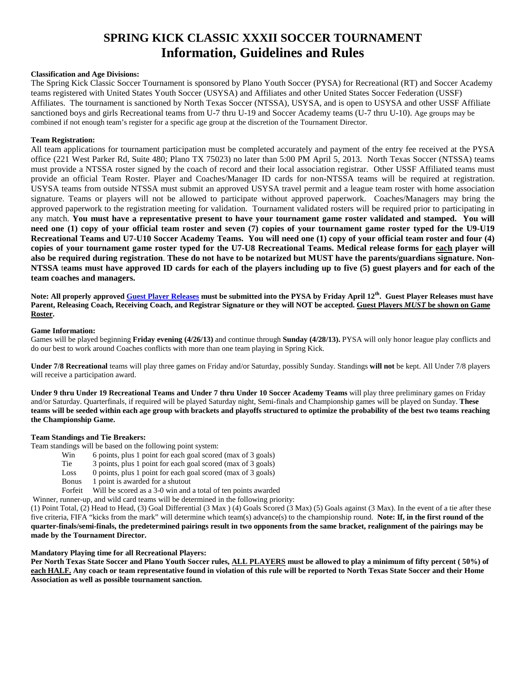# **SPRING KICK CLASSIC XXXII SOCCER TOURNAMENT Information, Guidelines and Rules**

# **Classification and Age Divisions:**

The Spring Kick Classic Soccer Tournament is sponsored by Plano Youth Soccer (PYSA) for Recreational (RT) and Soccer Academy teams registered with United States Youth Soccer (USYSA) and Affiliates and other United States Soccer Federation (USSF) Affiliates. The tournament is sanctioned by North Texas Soccer (NTSSA), USYSA, and is open to USYSA and other USSF Affiliate sanctioned boys and girls Recreational teams from U-7 thru U-19 and Soccer Academy teams (U-7 thru U-10). Age groups may be combined if not enough team's register for a specific age group at the discretion of the Tournament Director.

# **Team Registration:**

All team applications for tournament participation must be completed accurately and payment of the entry fee received at the PYSA office (221 West Parker Rd, Suite 480; Plano TX 75023) no later than 5:00 PM April 5, 2013. North Texas Soccer (NTSSA) teams must provide a NTSSA roster signed by the coach of record and their local association registrar. Other USSF Affiliated teams must provide an official Team Roster. Player and Coaches/Manager ID cards for non-NTSSA teams will be required at registration. USYSA teams from outside NTSSA must submit an approved USYSA travel permit and a league team roster with home association signature. Teams or players will not be allowed to participate without approved paperwork. Coaches/Managers may bring the approved paperwork to the registration meeting for validation. Tournament validated rosters will be required prior to participating in any match. **You must have a representative present to have your tournament game roster validated and stamped. You will need one (1) copy of your official team roster and seven (7) copies of your tournament game roster typed for the U9-U19 Recreational Teams and U7-U10 Soccer Academy Teams. You will need one (1) copy of your official team roster and four (4) copies of your tournament game roster typed for the U7-U8 Recreational Teams. Medical release forms for each player will also be required during registration**. **These do not have to be notarized but MUST have the parents/guardians signature. Non-NTSSA** t**eams must have approved ID cards for each of the players including up to five (5) guest players and for each of the team coaches and managers.**

**Note: All properly approve[d Guest Player Releases](http://www.ntxsoccer.org/Youth/Forms/youthGuestPlayerForm.pdf) must be submitted into the PYSA by Friday April 12th. Guest Player Releases must have Parent, Releasing Coach, Receiving Coach, and Registrar Signature or they will NOT be accepted. Guest Players** *MUST* **be shown on Game Roster.**

## **Game Information:**

Games will be played beginning **Friday evening (4/26/13)** and continue through **Sunday (4/28/13).** PYSA will only honor league play conflicts and do our best to work around Coaches conflicts with more than one team playing in Spring Kick.

**Under 7/8 Recreational** teams will play three games on Friday and/or Saturday, possibly Sunday. Standings **will not** be kept. All Under 7/8 players will receive a participation award.

**Under 9 thru Under 19 Recreational Teams and Under 7 thru Under 10 Soccer Academy Teams** will play three preliminary games on Friday and/or Saturday. Quarterfinals, if required will be played Saturday night, Semi-finals and Championship games will be played on Sunday. **These teams will be seeded within each age group with brackets and playoffs structured to optimize the probability of the best two teams reaching the Championship Game.**

## **Team Standings and Tie Breakers:**

Team standings will be based on the following point system:

- Win 6 points, plus 1 point for each goal scored (max of 3 goals)
- Tie 3 points, plus 1 point for each goal scored (max of 3 goals)
- Loss 0 points, plus 1 point for each goal scored (max of 3 goals)
- Bonus 1 point is awarded for a shutout
- Forfeit Will be scored as a 3-0 win and a total of ten points awarded

Winner, runner-up, and wild card teams will be determined in the following priority:

(1) Point Total, (2) Head to Head, (3) Goal Differential (3 Max ) (4) Goals Scored (3 Max) (5) Goals against (3 Max). In the event of a tie after these five criteria, FIFA "kicks from the mark" will determine which team(s) advance(s) to the championship round. **Note: If, in the first round of the quarter-finals/semi-finals, the predetermined pairings result in two opponents from the same bracket, realignment of the pairings may be made by the Tournament Director.**

# **Mandatory Playing time for all Recreational Players:**

**Per North Texas State Soccer and Plano Youth Soccer rules, ALL PLAYERS must be allowed to play a minimum of fifty percent ( 50%) of each HALF. Any coach or team representative found in violation of this rule will be reported to North Texas State Soccer and their Home Association as well as possible tournament sanction.**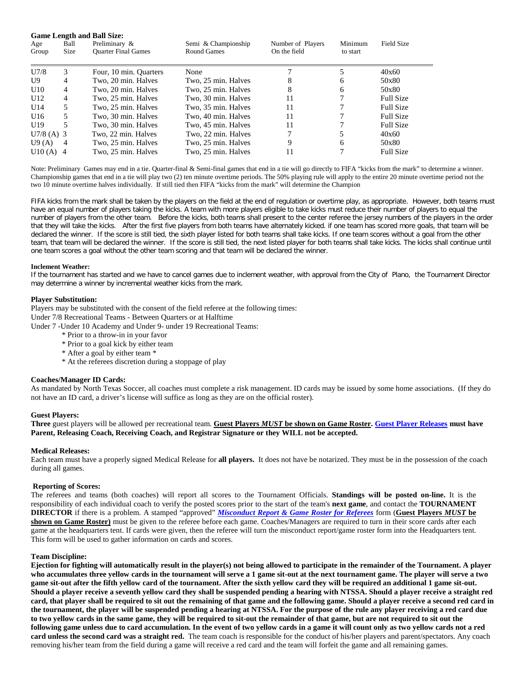| <b>Game Length and Ball Size:</b> |                     |                                             |                                           |                                   |                     |                  |
|-----------------------------------|---------------------|---------------------------------------------|-------------------------------------------|-----------------------------------|---------------------|------------------|
| Age<br>Group                      | Ball<br><b>Size</b> | Preliminary &<br><b>Ouarter Final Games</b> | Semi & Championship<br><b>Round Games</b> | Number of Players<br>On the field | Minimum<br>to start | Field Size       |
| U7/8                              | 3                   | Four, 10 min. Quarters                      | None                                      |                                   |                     | 40x60            |
| U9                                | 4                   | Two, 20 min. Halves                         | Two, 25 min. Halves                       | 8                                 | 6                   | 50x80            |
| U10                               | 4                   | Two. 20 min. Halves                         | Two, 25 min. Halves                       | 8                                 | 6                   | 50x80            |
| U12                               | 4                   | Two, 25 min. Halves                         | Two, 30 min. Halves                       | 11                                | 7                   | <b>Full Size</b> |
| U14                               | 5.                  | Two, 25 min. Halves                         | Two, 35 min. Halves                       | 11                                |                     | <b>Full Size</b> |
| U16                               | 5                   | Two, 30 min. Halves                         | Two, 40 min. Halves                       | 11                                |                     | <b>Full Size</b> |
| U <sub>19</sub>                   | 5                   | Two, 30 min. Halves                         | Two, 45 min. Halves                       | 11                                | ┑                   | <b>Full Size</b> |
| $U7/8$ (A) 3                      |                     | Two, 22 min. Halves                         | Two, 22 min. Halves                       |                                   | 5                   | 40x60            |
| U9(A)                             | $\overline{4}$      | Two. 25 min. Halves                         | Two, 25 min. Halves                       | 9                                 | 6                   | 50x80            |
| $U10(A)$ 4                        |                     | Two. 25 min. Halves                         | Two, 25 min. Halves                       |                                   | ⇁                   | <b>Full Size</b> |

Note: Preliminary Games may end in a tie. Quarter-final & Semi-final games that end in a tie will go directly to FIFA "kicks from the mark" to determine a winner. Championship games that end in a tie will play two (2) ten minute overtime periods. The 50% playing rule will apply to the entire 20 minute overtime period not the two 10 minute overtime halves individually. If still tied then FIFA "kicks from the mark" will determine the Champion

FIFA kicks from the mark shall be taken by the players on the field at the end of regulation or overtime play, as appropriate. However, both teams must have an equal number of players taking the kicks. A team with more players eligible to take kicks must reduce their number of players to equal the number of players from the other team. Before the kicks, both teams shall present to the center referee the jersey numbers of the players in the order that they will take the kicks. After the first five players from both teams have alternately kicked. if one team has scored more goals, that team will be declared the winner. If the score is still tied, the sixth player listed for both teams shall take kicks. If one team scores without a goal from the other team, that team will be declared the winner. If the score is still tied, the next listed player for both teams shall take kicks. The kicks shall continue until one team scores a goal without the other team scoring and that team will be declared the winner.

#### **Inclement Weather:**

If the tournament has started and we have to cancel games due to inclement weather, with approval from the City of Plano, the Tournament Director may determine a winner by incremental weather kicks from the mark.

#### **Player Substitution:**

Players may be substituted with the consent of the field referee at the following times:

Under 7/8 Recreational Teams - Between Quarters or at Halftime

Under 7 -Under 10 Academy and Under 9- under 19 Recreational Teams:

- \* Prior to a throw-in in your favor
- \* Prior to a goal kick by either team
- \* After a goal by either team \*
- \* At the referees discretion during a stoppage of play

## **Coaches/Manager ID Cards:**

As mandated by North Texas Soccer, all coaches must complete a risk management. ID cards may be issued by some home associations. (If they do not have an ID card, a driver's license will suffice as long as they are on the official roster).

## **Guest Players:**

**Three** guest players will be allowed per recreational team. **Guest Players** *MUST* **be shown on Game Roster[. Guest Player Releases](http://www.ntxsoccer.org/Youth/Forms/youthGuestPlayerForm.pdf) must have Parent, Releasing Coach, Receiving Coach, and Registrar Signature or they WILL not be accepted.**

## **Medical Releases:**

Each team must have a properly signed Medical Release for **all players.** It does not have be notarized. They must be in the possession of the coach during all games.

#### **Reporting of Scores:**

The referees and teams (both coaches) will report all scores to the Tournament Officials. **Standings will be posted on-line.** It is the responsibility of each individual coach to verify the posted scores prior to the start of the team's **next game**, and contact the **TOURNAMENT DIRECTOR** if there is a problem. A stamped "approved" *[Misconduct Report & Game Roster for Referees](http://www.pysa.org/sk2004/forms/refmisc002.pdf)* form (**Guest Players** *MUST* **be shown on Game Roster**) must be given to the referee before each game. Coaches/Managers are required to turn in their score cards after each game at the headquarters tent. If cards were given, then the referee will turn the misconduct report/game roster form into the Headquarters tent. This form will be used to gather information on cards and scores.

#### **Team Discipline:**

**Ejection for fighting will automatically result in the player(s) not being allowed to participate in the remainder of the Tournament. A player who accumulates three yellow cards in the tournament will serve a 1 game sit-out at the next tournament game. The player will serve a two game sit-out after the fifth yellow card of the tournament. After the sixth yellow card they will be required an additional 1 game sit-out. Should a player receive a seventh yellow card they shall be suspended pending a hearing with NTSSA. Should a player receive a straight red card, that player shall be required to sit out the remaining of that game and the following game. Should a player receive a second red card in the tournament, the player will be suspended pending a hearing at NTSSA. For the purpose of the rule any player receiving a red card due to two yellow cards in the same game, they will be required to sit-out the remainder of that game, but are not required to sit out the following game unless due to card accumulation. In the event of two yellow cards in a game it will count only as two yellow cards not a red card unless the second card was a straight red.** The team coach is responsible for the conduct of his/her players and parent/spectators. Any coach removing his/her team from the field during a game will receive a red card and the team will forfeit the game and all remaining games.